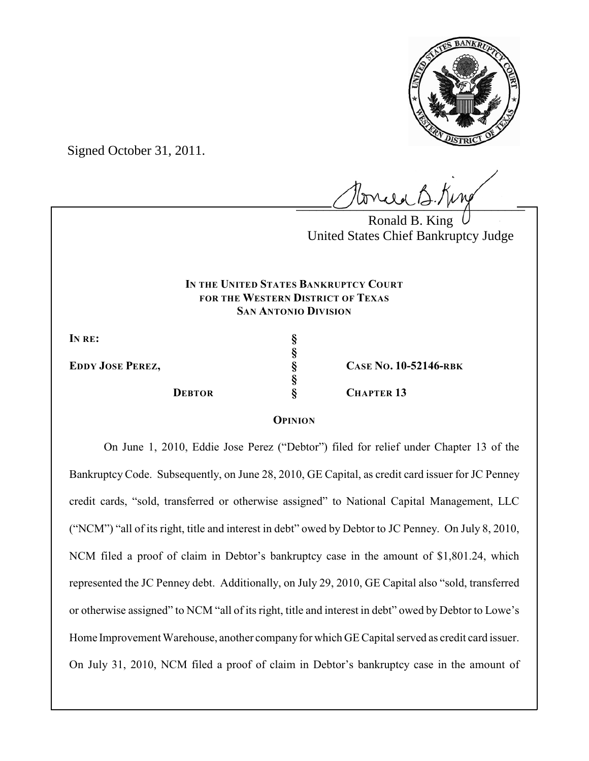

Signed October 31, 2011.

 $U^{\text{wval}}$ 

Ronald B. King United States Chief Bankruptcy Judge

## **IN THE UNITED STATES BANKRUPTCY COURT FOR THE WESTERN DISTRICT OF TEXAS SAN ANTONIO DIVISION**

**IN RE: §**

**EDDY JOSE PEREZ, § CASE NO. 10-52146-RBK DEBTOR § CHAPTER 13**

## **OPINION**

**§**

**§**

On June 1, 2010, Eddie Jose Perez ("Debtor") filed for relief under Chapter 13 of the Bankruptcy Code. Subsequently, on June 28, 2010, GE Capital, as credit card issuer for JC Penney credit cards, "sold, transferred or otherwise assigned" to National Capital Management, LLC ("NCM") "all of its right, title and interest in debt" owed by Debtor to JC Penney. On July 8, 2010, NCM filed a proof of claim in Debtor's bankruptcy case in the amount of \$1,801.24, which represented the JC Penney debt. Additionally, on July 29, 2010, GE Capital also "sold, transferred or otherwise assigned" to NCM "all of its right, title and interest in debt" owed by Debtor to Lowe's Home Improvement Warehouse, another company for which GE Capital served as credit card issuer. On July 31, 2010, NCM filed a proof of claim in Debtor's bankruptcy case in the amount of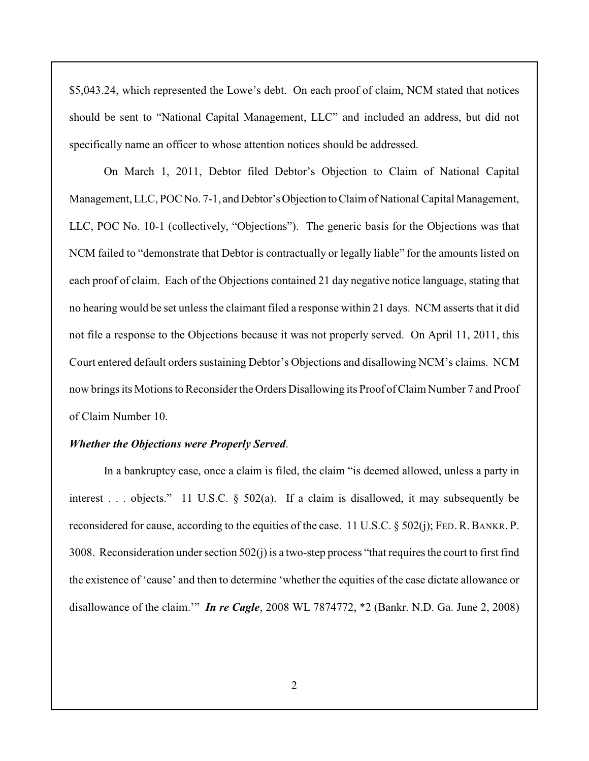\$5,043.24, which represented the Lowe's debt. On each proof of claim, NCM stated that notices should be sent to "National Capital Management, LLC" and included an address, but did not specifically name an officer to whose attention notices should be addressed.

On March 1, 2011, Debtor filed Debtor's Objection to Claim of National Capital Management, LLC, POC No. 7-1, and Debtor's Objection to Claim of National Capital Management, LLC, POC No. 10-1 (collectively, "Objections"). The generic basis for the Objections was that NCM failed to "demonstrate that Debtor is contractually or legally liable" for the amounts listed on each proof of claim. Each of the Objections contained 21 day negative notice language, stating that no hearing would be set unless the claimant filed a response within 21 days. NCM asserts that it did not file a response to the Objections because it was not properly served. On April 11, 2011, this Court entered default orders sustaining Debtor's Objections and disallowing NCM's claims. NCM now brings its Motions to Reconsider the Orders Disallowing its Proof of Claim Number 7 and Proof of Claim Number 10.

## *Whether the Objections were Properly Served*.

In a bankruptcy case, once a claim is filed, the claim "is deemed allowed, unless a party in interest . . . objects." 11 U.S.C. § 502(a). If a claim is disallowed, it may subsequently be reconsidered for cause, according to the equities of the case. 11 U.S.C. § 502(j); FED.R.BANKR. P. 3008. Reconsideration under section 502(j) is a two-step process "that requires the court to first find the existence of 'cause' and then to determine 'whether the equities of the case dictate allowance or disallowance of the claim.'" *In re Cagle*, 2008 WL 7874772, \*2 (Bankr. N.D. Ga. June 2, 2008)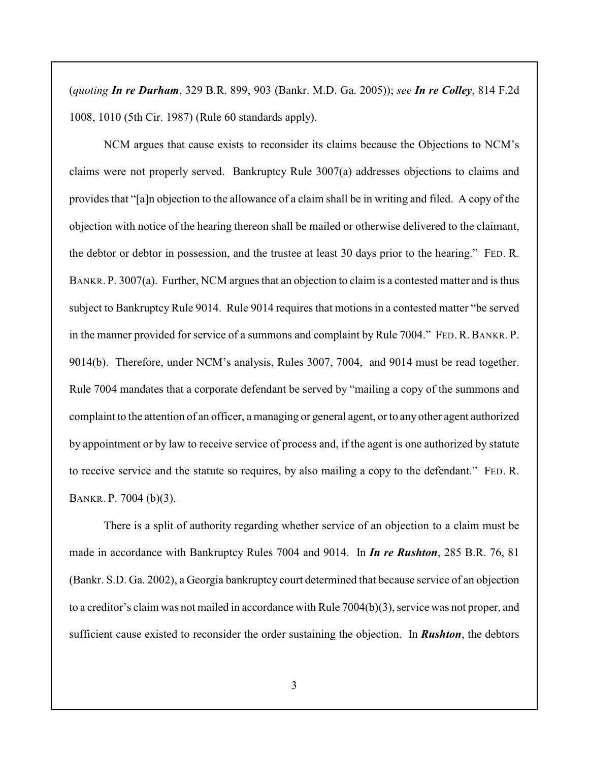(*quoting In re Durham*, 329 B.R. 899, 903 (Bankr. M.D. Ga. 2005)); *see In re Colley*, 814 F.2d 1008, 1010 (5th Cir. 1987) (Rule 60 standards apply).

NCM argues that cause exists to reconsider its claims because the Objections to NCM's claims were not properly served. Bankruptcy Rule 3007(a) addresses objections to claims and provides that "[a]n objection to the allowance of a claim shall be in writing and filed. A copy of the objection with notice of the hearing thereon shall be mailed or otherwise delivered to the claimant, the debtor or debtor in possession, and the trustee at least 30 days prior to the hearing." FED. R. BANKR. P. 3007(a). Further, NCM argues that an objection to claim is a contested matter and is thus subject to Bankruptcy Rule 9014. Rule 9014 requires that motions in a contested matter "be served in the manner provided for service of a summons and complaint by Rule 7004." FED. R. BANKR. P. 9014(b). Therefore, under NCM's analysis, Rules 3007, 7004, and 9014 must be read together. Rule 7004 mandates that a corporate defendant be served by "mailing a copy of the summons and complaint to the attention of an officer, a managing or general agent, or to any other agent authorized by appointment or by law to receive service of process and, if the agent is one authorized by statute to receive service and the statute so requires, by also mailing a copy to the defendant." FED. R. BANKR. P. 7004 (b)(3).

There is a split of authority regarding whether service of an objection to a claim must be made in accordance with Bankruptcy Rules 7004 and 9014. In *In re Rushton*, 285 B.R. 76, 81 (Bankr. S.D. Ga. 2002), a Georgia bankruptcy court determined that because service of an objection to a creditor's claim was not mailed in accordance with Rule 7004(b)(3), service was not proper, and sufficient cause existed to reconsider the order sustaining the objection. In *Rushton*, the debtors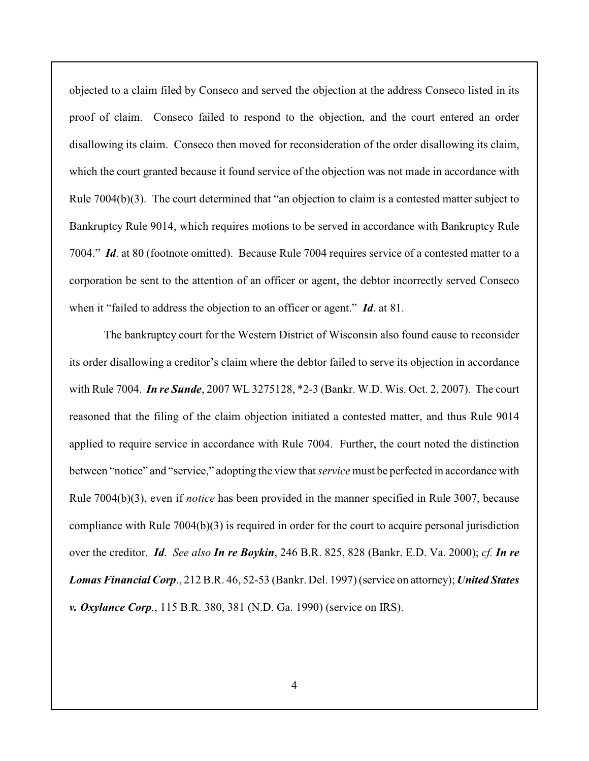objected to a claim filed by Conseco and served the objection at the address Conseco listed in its proof of claim. Conseco failed to respond to the objection, and the court entered an order disallowing its claim. Conseco then moved for reconsideration of the order disallowing its claim, which the court granted because it found service of the objection was not made in accordance with Rule 7004(b)(3). The court determined that "an objection to claim is a contested matter subject to Bankruptcy Rule 9014, which requires motions to be served in accordance with Bankruptcy Rule 7004." *Id*. at 80 (footnote omitted). Because Rule 7004 requires service of a contested matter to a corporation be sent to the attention of an officer or agent, the debtor incorrectly served Conseco when it "failed to address the objection to an officer or agent." *Id*. at 81.

The bankruptcy court for the Western District of Wisconsin also found cause to reconsider its order disallowing a creditor's claim where the debtor failed to serve its objection in accordance with Rule 7004. *In re Sunde*, 2007 WL 3275128, \*2-3 (Bankr. W.D. Wis. Oct. 2, 2007). The court reasoned that the filing of the claim objection initiated a contested matter, and thus Rule 9014 applied to require service in accordance with Rule 7004. Further, the court noted the distinction between "notice" and "service," adopting the view that *service* must be perfected in accordance with Rule 7004(b)(3), even if *notice* has been provided in the manner specified in Rule 3007, because compliance with Rule 7004(b)(3) is required in order for the court to acquire personal jurisdiction over the creditor. *Id*. *See also In re Boykin*, 246 B.R. 825, 828 (Bankr. E.D. Va. 2000); *cf. In re Lomas Financial Corp*., 212 B.R. 46, 52-53 (Bankr. Del. 1997) (service on attorney); *United States v. Oxylance Corp*., 115 B.R. 380, 381 (N.D. Ga. 1990) (service on IRS).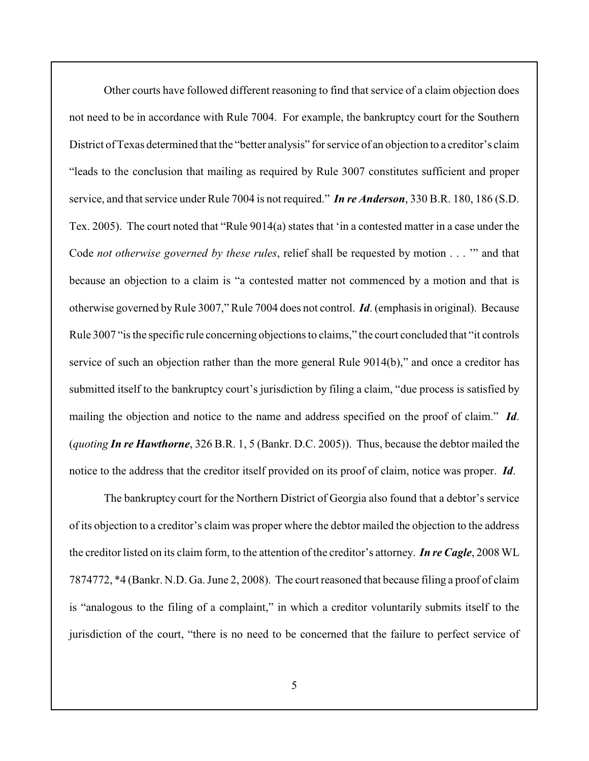Other courts have followed different reasoning to find that service of a claim objection does not need to be in accordance with Rule 7004. For example, the bankruptcy court for the Southern District of Texas determined that the "better analysis" for service of an objection to a creditor's claim "leads to the conclusion that mailing as required by Rule 3007 constitutes sufficient and proper service, and that service under Rule 7004 is not required." *In re Anderson*, 330 B.R. 180, 186 (S.D. Tex. 2005). The court noted that "Rule 9014(a) states that 'in a contested matter in a case under the Code *not otherwise governed by these rules*, relief shall be requested by motion . . . '" and that because an objection to a claim is "a contested matter not commenced by a motion and that is otherwise governed byRule 3007," Rule 7004 does not control. *Id*. (emphasis in original). Because Rule 3007 "is the specific rule concerning objections to claims," the court concluded that "it controls service of such an objection rather than the more general Rule 9014(b)," and once a creditor has submitted itself to the bankruptcy court's jurisdiction by filing a claim, "due process is satisfied by mailing the objection and notice to the name and address specified on the proof of claim." *Id*. (*quoting In re Hawthorne*, 326 B.R. 1, 5 (Bankr. D.C. 2005)). Thus, because the debtor mailed the notice to the address that the creditor itself provided on its proof of claim, notice was proper. *Id*.

The bankruptcy court for the Northern District of Georgia also found that a debtor's service of its objection to a creditor's claim was proper where the debtor mailed the objection to the address the creditor listed on its claim form, to the attention of the creditor's attorney. *In re Cagle*, 2008 WL 7874772, \*4 (Bankr. N.D. Ga. June 2, 2008). The court reasoned that because filing a proof of claim is "analogous to the filing of a complaint," in which a creditor voluntarily submits itself to the jurisdiction of the court, "there is no need to be concerned that the failure to perfect service of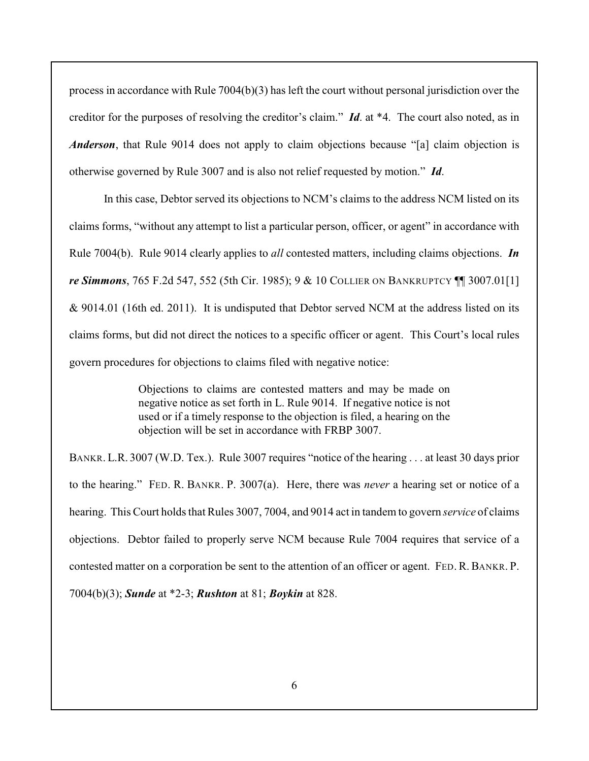process in accordance with Rule 7004(b)(3) has left the court without personal jurisdiction over the creditor for the purposes of resolving the creditor's claim." *Id*. at \*4. The court also noted, as in *Anderson*, that Rule 9014 does not apply to claim objections because "[a] claim objection is otherwise governed by Rule 3007 and is also not relief requested by motion." *Id*.

In this case, Debtor served its objections to NCM's claims to the address NCM listed on its claims forms, "without any attempt to list a particular person, officer, or agent" in accordance with Rule 7004(b). Rule 9014 clearly applies to *all* contested matters, including claims objections. *In re Simmons*, 765 F.2d 547, 552 (5th Cir. 1985); 9 & 10 COLLIER ON BANKRUPTCY ¶¶ 3007.01[1]  $& 9014.01$  (16th ed. 2011). It is undisputed that Debtor served NCM at the address listed on its claims forms, but did not direct the notices to a specific officer or agent. This Court's local rules govern procedures for objections to claims filed with negative notice:

> Objections to claims are contested matters and may be made on negative notice as set forth in L. Rule 9014. If negative notice is not used or if a timely response to the objection is filed, a hearing on the objection will be set in accordance with FRBP 3007.

BANKR. L.R. 3007 (W.D. Tex.). Rule 3007 requires "notice of the hearing . . . at least 30 days prior to the hearing." FED. R. BANKR. P. 3007(a). Here, there was *never* a hearing set or notice of a hearing. This Court holds that Rules 3007, 7004, and 9014 act in tandem to govern *service* of claims objections. Debtor failed to properly serve NCM because Rule 7004 requires that service of a contested matter on a corporation be sent to the attention of an officer or agent. FED. R. BANKR. P. 7004(b)(3); *Sunde* at \*2-3; *Rushton* at 81; *Boykin* at 828.